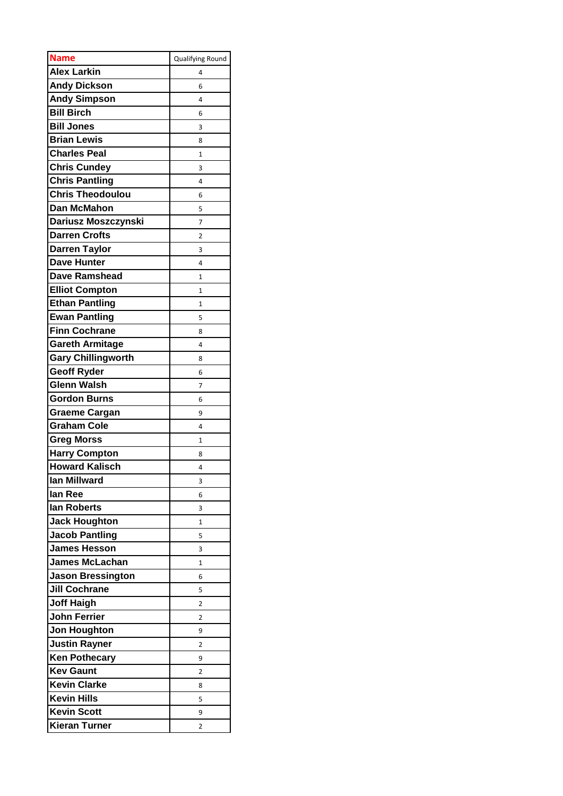| <b>Name</b>               | Qualifying Round |
|---------------------------|------------------|
| <b>Alex Larkin</b>        | 4                |
| <b>Andy Dickson</b>       | 6                |
| <b>Andy Simpson</b>       | 4                |
| <b>Bill Birch</b>         | 6                |
| <b>Bill Jones</b>         | 3                |
| <b>Brian Lewis</b>        | 8                |
| <b>Charles Peal</b>       | 1                |
| <b>Chris Cundey</b>       | 3                |
| <b>Chris Pantling</b>     | 4                |
| <b>Chris Theodoulou</b>   | 6                |
| <b>Dan McMahon</b>        | 5                |
| Dariusz Moszczynski       | 7                |
| <b>Darren Crofts</b>      | 2                |
| <b>Darren Taylor</b>      | 3                |
| Dave Hunter               | 4                |
| <b>Dave Ramshead</b>      | 1                |
| <b>Elliot Compton</b>     | 1                |
| <b>Ethan Pantling</b>     | $\mathbf{1}$     |
| <b>Ewan Pantling</b>      | 5                |
| <b>Finn Cochrane</b>      | 8                |
| <b>Gareth Armitage</b>    | 4                |
| <b>Gary Chillingworth</b> | 8                |
| <b>Geoff Ryder</b>        | 6                |
| <b>Glenn Walsh</b>        | 7                |
| <b>Gordon Burns</b>       | 6                |
| <b>Graeme Cargan</b>      | 9                |
| <b>Graham Cole</b>        | 4                |
| <b>Greg Morss</b>         | $\overline{1}$   |
| <b>Harry Compton</b>      | 8                |
| <b>Howard Kalisch</b>     | 4                |
| lan Millward              | 3                |
| lan Ree                   | 6                |
| lan Roberts               | 3                |
| <b>Jack Houghton</b>      | 1                |
| <b>Jacob Pantling</b>     | 5                |
| <b>James Hesson</b>       | 3                |
| <b>James McLachan</b>     | 1                |
| <b>Jason Bressington</b>  | 6                |
| <b>Jill Cochrane</b>      | 5                |
| <b>Joff Haigh</b>         | 2                |
| <b>John Ferrier</b>       | 2                |
| <b>Jon Houghton</b>       | 9                |
| <b>Justin Rayner</b>      | 2                |
| <b>Ken Pothecary</b>      | 9                |
| <b>Kev Gaunt</b>          | 2                |
| <b>Kevin Clarke</b>       | 8                |
| <b>Kevin Hills</b>        | 5                |
| <b>Kevin Scott</b>        | 9                |
| <b>Kieran Turner</b>      | 2                |